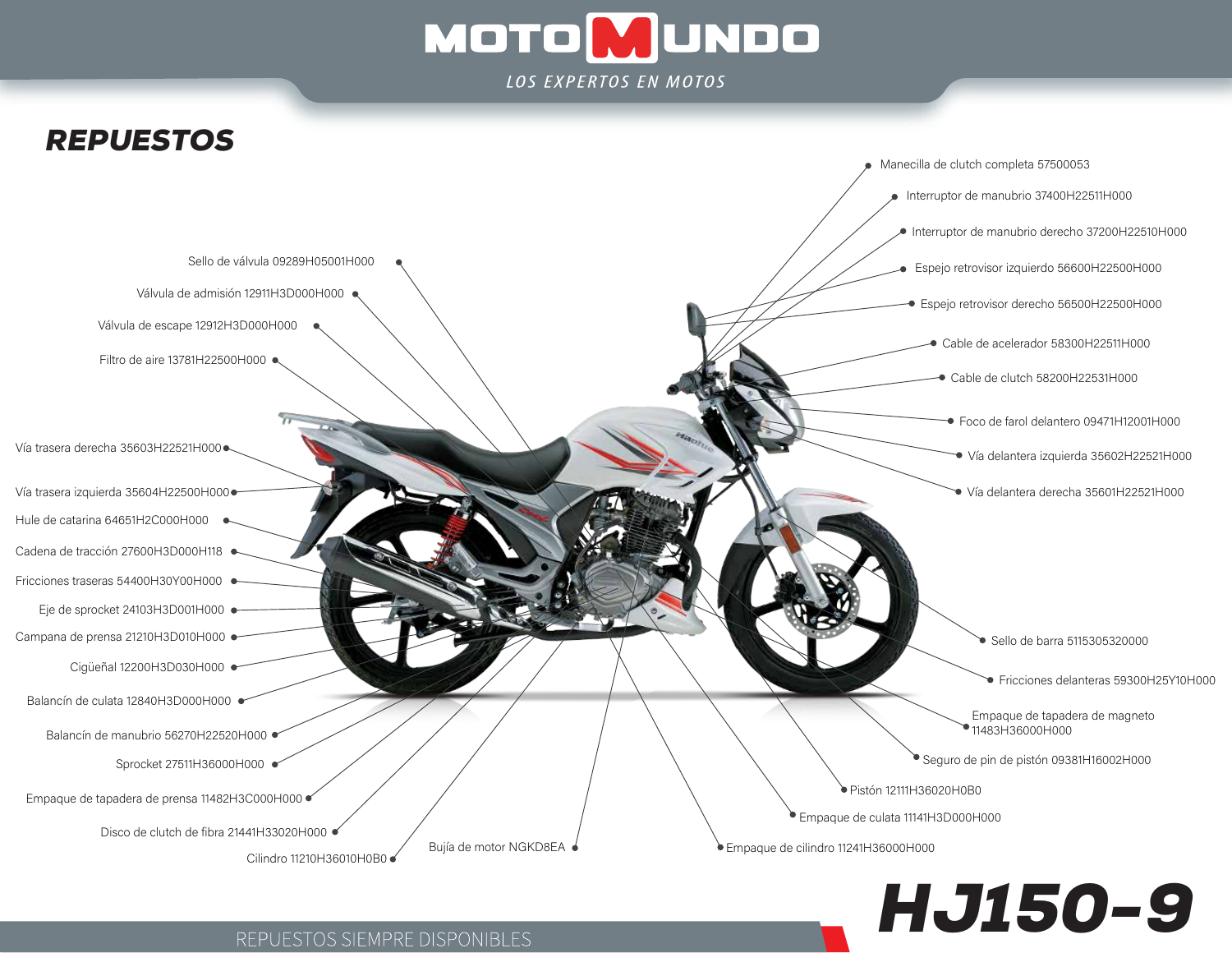



REPUESTOS SIEMPRE DISPONIBLES